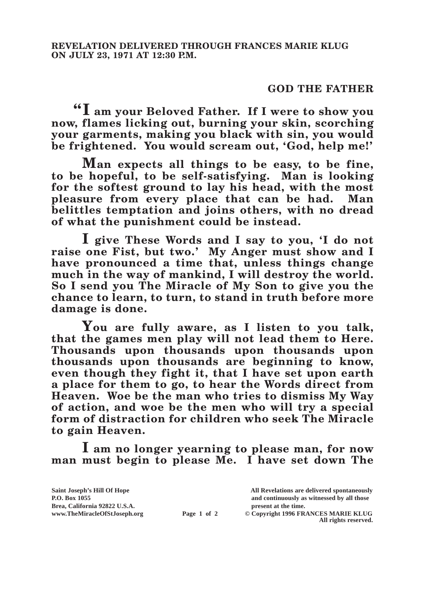## **GOD THE FATHER**

**"I am your Beloved Father. If I were to show you now, flames licking out, burning your skin, scorching your garments, making you black with sin, you would be frightened. You would scream out, 'God, help me!'**

**Man expects all things to be easy, to be fine, to be hopeful, to be self-satisfying. Man is looking for the softest ground to lay his head, with the most pleasure from every place that can be had. Man belittles temptation and joins others, with no dread of what the punishment could be instead.**

**I give These Words and I say to you, 'I do not raise one Fist, but two.' My Anger must show and I have pronounced a time that, unless things change much in the way of mankind, I will destroy the world. So I send you The Miracle of My Son to give you the chance to learn, to turn, to stand in truth before more damage is done.**

**You are fully aware, as I listen to you talk, that the games men play will not lead them to Here. Thousands upon thousands upon thousands upon thousands upon thousands are beginning to know, even though they fight it, that I have set upon earth a place for them to go, to hear the Words direct from Heaven. Woe be the man who tries to dismiss My Way of action, and woe be the men who will try a special form of distraction for children who seek The Miracle to gain Heaven.**

**I am no longer yearning to please man, for now man must begin to please Me. I have set down The** 

| Saint Joseph's Hill Of Hope   |             | All Revelations are delivered spontaneously                 |
|-------------------------------|-------------|-------------------------------------------------------------|
| <b>P.O. Box 1055</b>          |             | and continuously as witnessed by all those                  |
| Brea, California 92822 U.S.A. |             | present at the time.                                        |
| www.TheMiracleOfStJoseph.org  | Page 1 of 2 | © Copyright 1996 FRANCES MARIE KLUG<br>All rights reserved. |